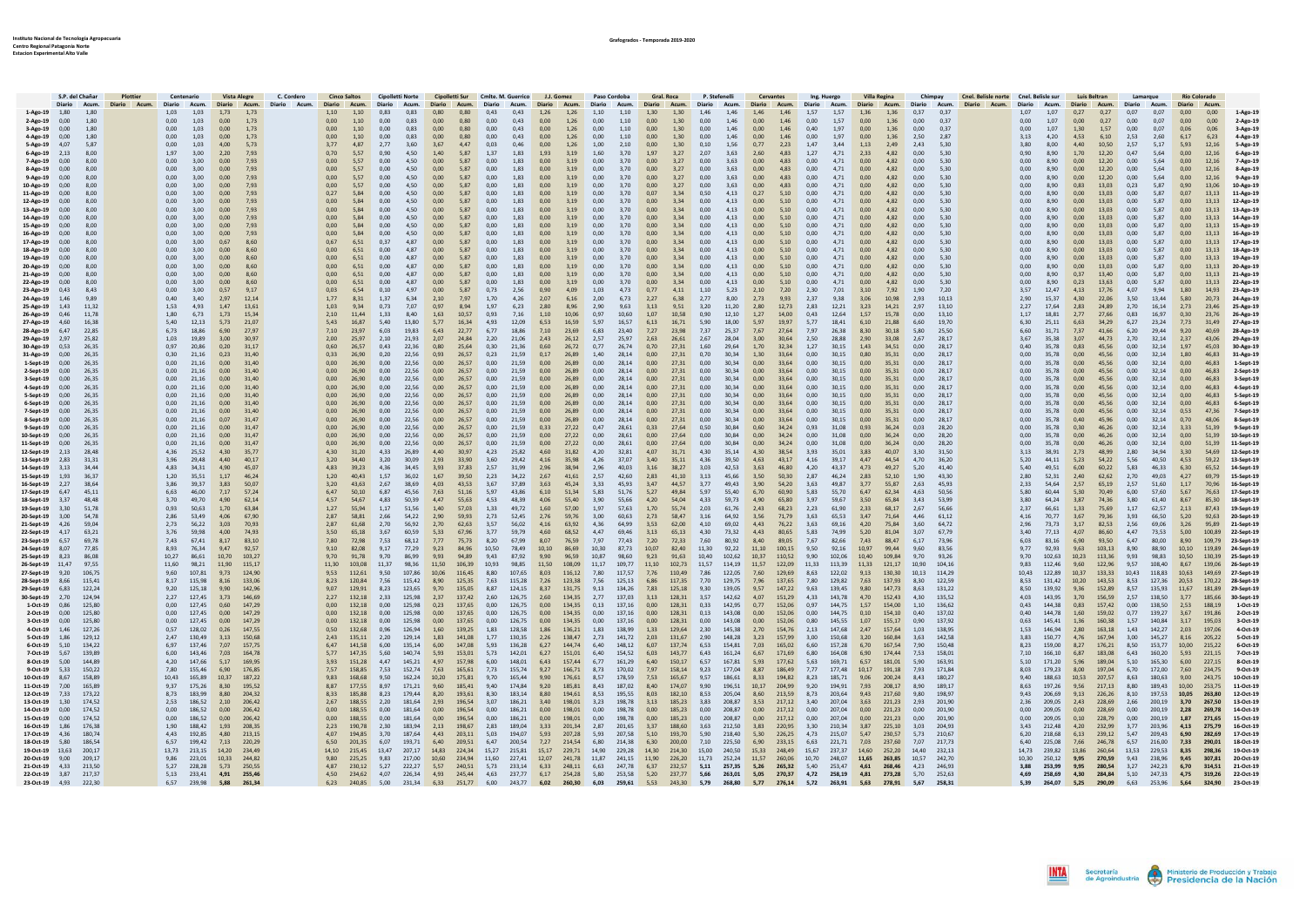|                                           | S.P. del Chañar                |                | Plottier | Centenario                                  |                                  | Vista Alegre C. Cordero                                                                                                                                                                                                                    |               |                                |                       |                        | Cinco Saltos Cinolletti Norte Cinolletti Sur Cmlte, M. Guerrico         |                       | L.I. Gomez             |                          | Paso Cordoba                                    | Gral, Roca               |                          | P. Stefenelli                   |                | Cervantes                           | Ing. Huergo                                                                                                                                                             | Villa Regina                   |                                  | Chimpay Cnel. Belisle norte Cnel. Belisle sur Luis Beltran |                                  |                |                                      | Lamarque            |                                                      | <b>Río Colorado</b> |                  |                                       |
|-------------------------------------------|--------------------------------|----------------|----------|---------------------------------------------|----------------------------------|--------------------------------------------------------------------------------------------------------------------------------------------------------------------------------------------------------------------------------------------|---------------|--------------------------------|-----------------------|------------------------|-------------------------------------------------------------------------|-----------------------|------------------------|--------------------------|-------------------------------------------------|--------------------------|--------------------------|---------------------------------|----------------|-------------------------------------|-------------------------------------------------------------------------------------------------------------------------------------------------------------------------|--------------------------------|----------------------------------|------------------------------------------------------------|----------------------------------|----------------|--------------------------------------|---------------------|------------------------------------------------------|---------------------|------------------|---------------------------------------|
| 1-Ago-19 1,80                             |                                | 1,80           |          | 1,03<br>1,03                                | 1,73<br>1,73                     | Diario Acum. <mark>Diario Acum. Diario Acum. Diario Acum. Diario Acum. Diario Acum. Diario Acum. Diario Acum. Diario Acum. Diario Acum. Diario Acum. Diario Acum. Diario Acum. Diario Acum. Diario Acum. Diario Acum. Diario Acum. </mark> | 1.10          | 1.10                           | 0.83<br>0.83          | 0,80                   | 0.80 0.43                                                               | 0,43                  | $1,26$ $1,26$          | 1,10                     | 1,10                                            | 1,30                     | 1,30 1,46                |                                 | 1,46           | 1,46<br>1,46                        | 1.57<br>1.57                                                                                                                                                            | 1,36<br>1,36                   | 0,37<br>0.37                     |                                                            | 1,07<br>1.07                     |                | 0.27<br>0.27                         | 0.07                | 0.07                                                 | 0.00                | 0.00             | 1-Ago-19                              |
| 2-Ago-19                                  | 0.00                           | 1.80           |          | 0.00<br>1.03                                | 0.00<br>1.73                     |                                                                                                                                                                                                                                            | 0.00          | 1.10<br>0.00                   | 0.83                  | 0.00                   | 0.80<br>0.00                                                            | 0.43                  | 0.00<br>1.26           | 0.00                     | 1.10                                            | 0.00                     | 1.30                     | 1.46<br>0.00                    |                | 0.00<br>1.46                        | 1.57<br>0.00                                                                                                                                                            | 0.00<br>1.36                   | 0.00<br>0.37                     |                                                            | 0.00<br>1.07                     | 0.00           | 0.27                                 | 0.00                | 0.07                                                 | 0.00                | 0.00             | 2-Ago-19                              |
| 3-Ago-19                                  | 0.00                           | 1.80           |          | 0.00<br>1.03                                | 0.00<br>1.73                     |                                                                                                                                                                                                                                            | 0.00          | 1.10<br>0.00                   | 0.83                  | 0.00<br>0.80           | 0.00                                                                    | 0.43                  | 0.00<br>1.26           | 0.00                     | 1.10                                            | 0.00                     | 1.30                     | 0.00<br>1.46                    |                | 0.00<br>1.46                        | 0.40<br>1.97                                                                                                                                                            | 0.00<br>1.36                   | 0.00<br>0.37                     |                                                            | 0.00<br>1.07                     | 1.30           | 1.57                                 | 0.00                | 0.07                                                 | 0.06                | 0.06             | 3-Ago-19                              |
| 4-Ago-19                                  | 0.00                           | 1.80           |          | 0.00<br>1.03                                | 0.00<br>1.73                     |                                                                                                                                                                                                                                            | 0.00          | 1.10<br>0.00                   | 0.83                  | 0.00                   | 0.80<br>0.00                                                            | 0.43                  | 0.00<br>1.26           | 0.00                     | 1.10                                            | 0.00                     | 1.30                     | 0.00                            | 1.46           | 0.00<br>1.46                        | 0.00<br>1.97                                                                                                                                                            | 0.00<br>1.36                   | 2.50<br>2.87                     |                                                            | 3.13<br>4.20                     | 4.53           | 6.10                                 | 2.53                | 2.60                                                 | 6.17                | 6.23             | 4-Ago-19                              |
| 5-Ago-19                                  | 4.07                           | 5.87           |          | 0.00<br>1.03                                | 4.00<br>5.73                     |                                                                                                                                                                                                                                            | 3,77          | 4.87<br>2.77                   | 3.60                  | 3.67                   | 4.47<br>0.03                                                            | 0.46                  | 0.00                   | 1.26<br>1.00             | 2.10                                            | 0.00                     | 1.30                     | 0.10                            | 1.56           | 0.77<br>2.23                        | 1.47<br>3.44                                                                                                                                                            | 1.13<br>2.49                   | 2.43<br>5.30                     |                                                            | 3.80<br>8.00                     | 4.40           | 10.50                                | 2.57                | 5.17                                                 | 5.93                | 12.16            | 5-Ago-19                              |
| 6-Ago-19<br>7-Ago-19                      | 2.13<br>0.00                   | 8.00<br>8.00   |          | 1.97<br>3.00<br>0.00<br>3.00                | 2.20<br>7.93<br>7.93             |                                                                                                                                                                                                                                            | 0.70<br>0.00  | 5.57<br>0.90<br>5.57<br>0.00   | 4.50<br>4.50          | 1.40<br>0.00           | 5.87<br>1.37<br>5.87<br>0.00                                            | 1.83<br>1.83          | 1.93<br>3.19<br>3.19   | 1.60<br>0.00             | 3.70<br>3.70                                    | 1.97<br>0.00             | 3.27<br>3.27             | 2.07<br>0.00                    | 3.63<br>3.63   | 2.60<br>4.83<br>4.83                | 1.27<br>4.71<br>4.71                                                                                                                                                    | 2.33<br>4.82<br>4.82           | 0.00<br>5.30<br>0.00<br>5.30     |                                                            | 0.90<br>8.90<br>0.00<br>8.90     | 1.70<br>0.00   | 12.20<br>12.20                       | 0.47<br>0.00        | 5.64<br>5.64                                         | 0.00<br>0.00        | 12.16<br>12.16   | 6-Ago-19<br>7-Ago-19                  |
| 8-Ago-19 0,00                             |                                | 8.00           |          | 0.00<br>3.00                                | 0.00<br>7.93                     |                                                                                                                                                                                                                                            | 0.00          | 5.57<br>0.00                   | 4.50                  | 0.00                   | 5.87<br>0.00                                                            | 1.83                  | 0.00<br>3.19           | 0.00                     | 3.70                                            | 0.00                     | 3.27                     | 0.00                            | 3.63           | 0.00<br>4.83                        | 0.00<br>4.71                                                                                                                                                            | 0.00<br>4.82                   | 0.00<br>5.30                     |                                                            | 0.00<br>8.90                     | 0.00           | 12.20                                | 0.00                | 5.64                                                 | 0.00                | 12.16            | 8-Ago-19                              |
| 9-Ago-19                                  | 0.00                           | 8.00           |          | 0.00<br>3.00                                | 0.00<br>7.93                     |                                                                                                                                                                                                                                            | 0.00          | 5.57<br>0.00                   | 4.50                  | 0.00                   | 5.87<br>0.00                                                            | 1.83                  | 0.00                   | 3.19<br>0.00             | 3.70                                            | 0.00                     | 3.27                     | 0.00                            | 3.63           | 0.00<br>4.83                        | 0.00<br>4.71                                                                                                                                                            | 0.00<br>4.82                   | 0.00<br>5.30                     |                                                            | 0.00<br>8.90                     | 0.00           | 12.20                                | 0.00                | 5.64                                                 | 0.00                | 12.16            | 9-Ago-19                              |
| 10-Ago-19 0,00                            |                                | 8.00           |          | 0.00<br>3.00                                | 0.00<br>7.93                     |                                                                                                                                                                                                                                            | 0.00          | 5.57<br>0.00                   | 4.50                  | 0.00                   | 5.87<br>0.00                                                            | 1.83                  | 3.19<br>0.00           | 0.00                     | 3.70                                            | 0.00                     | 3.27                     | 0.00<br>3.63                    |                | 0.00<br>4.83                        | 0.00<br>4.71                                                                                                                                                            | 4.82<br>0.00                   | 0.00<br>5.30                     |                                                            | 0.00<br>8.90                     | 0.83           | 13.03                                | 0.23                | 5.87                                                 | 0.90                | 13.06            | 10-Ago-19                             |
| 11-Ago-19 0,00                            |                                | 8.00           |          | 0.00<br>3.00                                | 0.00<br>7.93                     |                                                                                                                                                                                                                                            | 0,27          | 0.00<br>5.84                   | 4.50                  | 0.00                   | 5.87<br>0.00                                                            | 1.83                  | 0.00<br>3.19           | 0.00                     | 3.70                                            | 0.07                     | 3.34                     | 0.50                            | 4.13           | 0.27<br>5.10                        | 0.00<br>4.71                                                                                                                                                            | 0.00<br>4.82                   | 5.30<br>0.00                     |                                                            | 0.00<br>8.90                     | 0.00           | 13.03                                | 0.00                | 5.87                                                 | 0.07                | 13,13            | 11-Ago-19                             |
| 12-Ago-19 0,00                            |                                | 8.00           |          | 0.00<br>3.00<br>0.00                        | 0.00<br>7.93                     |                                                                                                                                                                                                                                            | 0.00          | 5.84<br>0.00<br>0.00           | 4.50<br>4.50          | 0,00<br>0.00           | 5,87<br>0.00<br>5.87<br>0.00                                            | 1.83<br>1.83          | 0.00<br>3.19<br>3.19   | 0.00<br>0.00             | 3.70                                            | 0.00<br>0.00             | 3.34<br>3.34             | 0.00                            | 4.13           | 0.00<br>5.10                        | 0.00<br>4.71                                                                                                                                                            | 0.00<br>4.82                   | 0.00<br>5.30<br>5.30             |                                                            | 0.00<br>8.90<br>0.00<br>8.90     | 0.00<br>0.00   | 13.03<br>13.03                       | 0.00<br>0.00        | 5.87<br>5.87                                         | 0.00                | 13.13            | 12-Ago-19                             |
| 13-Ago-19<br>14-Ago-19 0,00               | 0,00                           | 8,00<br>8.00   |          | 3,00<br>0.00<br>3.00                        | 0.00<br>7.93<br>0.00<br>7.93     |                                                                                                                                                                                                                                            | 0,00<br>0.00  | 5.84<br>0.00<br>5.84           | 4.50                  | 5.87<br>0.00           | 0.00                                                                    | 1.83                  | 0.00<br>0.00<br>3.19   | 0.00                     | 3,70<br>3.70                                    | 0.00                     | 3.34                     | 0.00<br>0.00<br>4.13            | 4.13           | 0.00<br>5.10<br>0.00<br>5.10        | 0.00<br>4.71<br>0.00<br>4.71                                                                                                                                            | 0.00<br>4.82<br>0.00<br>4.82   | 0.00<br>0.00<br>5.30             |                                                            | 0.00<br>8.90                     | 0.00           | 13.03                                | 0.00                | 5.87                                                 | 0.00<br>0.00        | 13,13<br>13.13   | 13-Ago-19<br>14-Ago-19                |
| 15-Ago-19 0,00                            |                                | 8,00           |          | 0.00<br>3,00                                | 0,00<br>7,93                     |                                                                                                                                                                                                                                            | 0,00          | 5,84<br>0.00                   | 4.50                  | 0.00                   | 5.87<br>0.00                                                            | 1.83                  | 0.00<br>3,19           | 0.00                     | 3,70                                            | 0.00                     | 3,34                     | 0.00                            | 4.13           | 0.00<br>5,10                        | 0.00<br>4,71                                                                                                                                                            | 0.00<br>4.82                   | 0,00<br>5.30                     |                                                            | 0,00<br>8.90                     | 0.00           | 13,03                                | 0.00                | 5.87                                                 | 0.00                | 13,13            | 15-Ago-19                             |
| 16-Ago-19 0,00                            |                                | 8.00           |          | 0.00<br>3.00                                | 0.00<br>7.93                     |                                                                                                                                                                                                                                            | 0.00          | 0.00<br>5.84                   | 4.50                  | 0.00                   | 5.87<br>0.00                                                            | 1.83                  | 0.00<br>3.19           | 0.00                     | 3.70                                            | 0.00                     | 3.34                     | 0.00                            | 4.13           | 0.00<br>5.10                        | 0.00<br>4.71                                                                                                                                                            | 0.00<br>4.82                   | 0.00<br>5.30                     |                                                            | 0.00<br>8.90                     | 0.00           | 13.03                                | 0.00                | 5.87                                                 | 0.00                | 13.13            | 16-Ago-19                             |
| 17-Ago-19                                 | 0.00                           | 8.00           |          | 0.00<br>3.00                                | 0.67<br>8.60                     |                                                                                                                                                                                                                                            | 0,67          | 6.51<br>0.37                   | 4.87                  | 0.00                   | 5.87<br>0.00                                                            | 1,83                  | 0.00<br>3.19           | 0.00                     | 3.70                                            | 0.00                     | 3.34                     | 0.00                            | 4.13           | 0.00<br>5.10                        | 0.00<br>4.71                                                                                                                                                            | 0.00<br>4.82                   | 0.00<br>5.30                     |                                                            | 0,00<br>8.90                     | 0.00           | 13.03                                | 0.00                | 5.87                                                 | 0.00                | 13.13            | 17-Ago-19                             |
| 18-Ago-19 0.00                            |                                | 8.00           |          | 0.00<br>3.00                                | 0.00<br>8.60                     |                                                                                                                                                                                                                                            | 0.00          | 0.00<br>6.51                   | 4.87                  | 0.00                   | 5.87<br>0.00                                                            | 1.83                  | 0.00<br>3.19           | 0.00                     | 3.70                                            | 0.00                     | 3.34                     | 0.00<br>4.13                    |                | 0.00<br>5.10                        | 0.00<br>4.71                                                                                                                                                            | 0.00<br>4.82                   | 0.00<br>5.30                     |                                                            | 0,00<br>8.90                     | 0.00           | 13.03                                | 0.00                | 5.87                                                 | 0.00                |                  | 13.13 18-Ago-19                       |
| 19-Ago-19 0,00<br>20-Ago-19 0.00          |                                | 8.00<br>8.00   |          | 0.00<br>3.00<br>0.00<br>3,00                | 0.00<br>8.60<br>0.00<br>8.60     |                                                                                                                                                                                                                                            | 0.00<br>0,00  | 6.51<br>0.00<br>6,51<br>0.00   | 4.87<br>4.87          | 0.00<br>0.00           | 5.87<br>0.00<br>5.87<br>0.00                                            | 1.83<br>1,83          | 0.00<br>3.19<br>0.00   | 0.00<br>3,19<br>0.00     | 3.70<br>3,70                                    | 0.00<br>0,00             | 3.34<br>3.34             | 0.00<br>0.00                    | 4.13<br>4.13   | 0.00<br>5.10<br>0,00<br>5.10        | 0.00<br>4.71<br>0.00<br>4.71                                                                                                                                            | 0.00<br>4.82<br>0.00<br>4.82   | 0.00<br>5.30<br>0.00<br>5,30     |                                                            | 0.00<br>8.90<br>0.00<br>8.90     | 0.00<br>0.00   | 13.03<br>13,03                       | 0.00<br>0.00        | 5.87<br>5.87                                         | 0.00<br>0.00        | 13.13            | 13,13 19-Ago-19<br>20-Ago-19          |
| 21-Ago-19                                 | 0.00                           | 8.00           |          | 0.00<br>3.00                                | 0.00<br>8.60                     |                                                                                                                                                                                                                                            | 0.00          | 6.51<br>0.00                   | 4.87                  | 0.00                   | 5.87<br>0.00                                                            | 1.83                  | 0.00<br>3.19           | 0.00                     | 3.70                                            | 0.00                     | 3.34                     | 0.00                            | 4.13           | 0.00<br>5.10                        | 0.00<br>4.71                                                                                                                                                            | 0.00<br>4.82                   | 0.00<br>5.30                     |                                                            | 0.00<br>8.90                     | 0.37           | 13.40                                | 0.00                | 5.87                                                 | 0.00                |                  | 13,13 21-Ago-19                       |
| 22-Ago-19 0,00                            |                                | 8.00           |          | 0.00<br>3.00                                | 0.00<br>8.60                     |                                                                                                                                                                                                                                            | 0,00          | 0.00<br>6.51                   | 4.87                  | 5.87<br>0.00           | 0.00                                                                    | 1.83                  | 0.00<br>3.19           | 0.00                     | 3,70                                            | 0.00                     | 3.34                     | 0.00                            | 4.13           | 0.00<br>5.10                        | 0.00<br>4.71                                                                                                                                                            | 0.00<br>4.82                   | 0.00<br>5.30                     |                                                            | 0.00<br>8.90                     |                | $0.23$ 13.63                         | 0.00                | 5.87                                                 | 0.00                |                  | 13.13 22-Ago-19                       |
| 23-Ago-19 0,43                            |                                | 8.43           |          | 0.00<br>3.00                                | 0.57<br>9.17                     |                                                                                                                                                                                                                                            | 0.03          | 6.54<br>0.10                   | 4.97                  | 0.00                   | 5.87<br>0.73                                                            | 2.56                  | 0.90<br>4.09           | 1.03                     | 4.73                                            | 0.77                     | $4.11$ $1.10$            |                                 | 5.23           | 2.10<br>7.20                        | 2.30<br>7.01                                                                                                                                                            | 3.10<br>7.92                   | 1.90<br>7.20                     |                                                            | 3.57<br>12.47                    |                | 4.13 17.76                           | 4.07                | 9.94                                                 | 1.80                | 14.93            | 23-Ago-19                             |
| 24-Ago-19                                 | 1.46                           | 9.89           |          | 0.40<br>3.40                                | 2.97<br>12.14                    |                                                                                                                                                                                                                                            | 1,77          | 1,37<br>8.31                   | 6,34                  | 2,10                   | 7,97<br>1.70                                                            | 4,26                  | 2.07                   | 6,16<br>2,00             | 6.73                                            | 2,27                     | 6.38                     | 2,77                            | 8.00           | 9,93<br>2.73                        | 2.37<br>9.38                                                                                                                                                            | 3.06<br>10.98                  | 2.93<br>10.13                    |                                                            | 2.90<br>15.37                    | 4.30           | 22.06                                | 3,50                | 13.44                                                | 5.80                | 20.73            | 24-Ago-19                             |
| 25-Ago-19                                 | 1,43                           | 11,32          |          | 1.53<br>4.93                                | 1.47<br>13.61                    |                                                                                                                                                                                                                                            | 1.03          | 9.34<br>0.73                   | 7.07                  | 0.97                   | 8.94<br>1.97                                                            | 6.23                  | 8.96<br>2.80           | 2.90                     | 9.63                                            | 3.13                     | 9.51                     | 3.20                            | 11.20          | 12.73<br>2.80                       | 2.83<br>12.21                                                                                                                                                           | 3.23<br>14.21                  | 2.97<br>13.10                    |                                                            | 2.27<br>17.64                    | 2.83           | 24.89                                | 2.70                | 16.14                                                | 2.73                | 23.46            | 25-Ago-19                             |
| 26-Ago-19 0,46                            |                                | 11.78<br>16.38 |          | 1.80<br>6.73<br>5.40<br>12.13               | 1.73<br>15.34<br>5.73<br>21.07   |                                                                                                                                                                                                                                            | 2.10<br>5.43  | 11.44<br>1.33<br>16.87<br>5.40 | 8.40<br>13.80         | 1.63<br>5.77           | 10.57<br>0.93<br>16.34<br>4.93                                          | 7.16<br>12.09         | 1.10<br>10.06<br>6.53  | 0.97<br>16.59<br>5.97    | 10.60<br>16.57                                  | 1.07<br>6.13             | 10.58<br>16.71 5.90      | 0.90                            | 12.10<br>18.00 | 1.27<br>14.00<br>5.97<br>19.97      | 0.43<br>12.64<br>5.77<br>18.41                                                                                                                                          | 1.57<br>15.78<br>6.10<br>21.88 | 0.00<br>13.10<br>6.60<br>19.70   |                                                            | 1.17<br>18.81<br>6.30<br>25.11   | 2.77<br>6.63   | 27.66<br>34.29                       | 0.83<br>6.27        | 16.97<br>23.24                                       | 0.30<br>7.73        | 23.76            | 26-Ago-19                             |
| 27-Ago-19 4,60<br>28-Ago-19               | 6.47                           | 22.85          |          | 6.73<br>18.86                               | 6.90<br>27.97                    |                                                                                                                                                                                                                                            | 7.10          | 23.97<br>6.03                  | 19.83                 | 6.43                   | 22.77<br>6.77                                                           | 18.86                 | 7.10                   | 23.69<br>6.83            | 23.40                                           | 7.27                     | 23.98                    | 7.37                            | 25.37          | 7.67<br>27.64                       | 7.97<br>26.38                                                                                                                                                           | 8.30<br>30.18                  | 5.80<br>25.50                    |                                                            | 6.60<br>31.71                    | 7.37           | 41.66                                | 6.20                | 29.44                                                | 9.20                | 40.69            | 31,49 27-Ago-19<br>28-Ago-19          |
| 29-Ago-19 2,97                            |                                | 25.82          |          | 1.03 19.89                                  | 3.00<br>30.97                    |                                                                                                                                                                                                                                            | 2.00          | 25.97<br>2.10                  | 21.93                 | 2.07                   | 24.84<br>2.20                                                           | 21.06                 | 2.43                   | 26.12 2.57               | 25.97                                           | 2.63                     | 26.61 2.67               |                                 | 28.04          | 3.00<br>30.64 2.50                  | 28.88                                                                                                                                                                   | 2.90<br>33.08                  | 2.67<br>28.17                    |                                                            | 3.67<br>35.38                    | 3.07           | 44.73                                | 2.70                | 32.14                                                | 2.37                | 43.06            | 29-Ago-19                             |
| 30-Ago-19 0,53                            |                                | 26.35          |          | 0.97<br>20.86                               | 0.20<br>31.17                    |                                                                                                                                                                                                                                            | 0.60          | 26.57<br>0.43                  | 22.36                 |                        | 25.64<br>0.30                                                           | 21.36                 |                        | 26.72 0.77               | 26.74                                           | 0.70                     | 27.31 1.60               | 29.64                           |                | 1.70<br>32.34                       | 1.27 30.15                                                                                                                                                              | 1.43<br>34.51                  | 0.00<br>28.17                    |                                                            | 0.40<br>35.78                    | 0.83           | 45.56                                | 0.00                | 32.14                                                | 1.97                | 45.03            | 30-Ago-19                             |
| 31-Ago-19 0,00                            |                                | 26.35          |          | $0,30$ 21,16                                | 0.23<br>31.40                    |                                                                                                                                                                                                                                            | 0.33          | 26.90 0.20                     | 22.56                 | 0.93                   | 26.57<br>0.23                                                           | 21.59                 | 0.17<br>26.89          | 1.40                     | 28.14                                           | 0.00                     | 27.31 0.70               |                                 | 30.34          | 1.30<br>33.64                       | 0.00<br>30.15                                                                                                                                                           | 0.80<br>35.31                  | 0.00<br>28.17                    |                                                            | 0.00<br>35.78                    | 0.00           | 45.56                                | 0.00                | 32.14                                                | 1.80                | 46.83            | 31-Ago-19                             |
| 1-Sept-19 0,00                            |                                | 26,35          |          | 0.00<br>21,16                               | 0.00<br>31.40                    |                                                                                                                                                                                                                                            | 0.00          | 26.90<br>0.00                  | 22.56                 | 0.00                   | 26.57<br>0.00                                                           | 21.59                 | 0.00<br>26.89          | 0.00                     | 28.14                                           | 0.00                     | 27.31                    | 0.00                            | 30.34          | 0.00<br>33.64                       | 0.00<br>30.15                                                                                                                                                           | 0.00<br>35.31                  | 0.00<br>28.17                    |                                                            | 0.00<br>35.78                    | 0.00           | 45.56                                | 0.00                | 32.14                                                | 0.00                | 46.83            | 1-Sept-19                             |
| 2-Sept-19 0,00<br>3-Sept-19 0.00          |                                | 26.35<br>26.35 |          | 0.00<br>21.16<br>0.00<br>21.16              | 0.00<br>31.40<br>0.00<br>31.40   |                                                                                                                                                                                                                                            | 0.00<br>0.00  | 26.90<br>0.00<br>26.90<br>0.00 | 22.56<br>22.56        | 0.00<br>0.00           | 26.57<br>0.00<br>26.57<br>0.00                                          | 21.59<br>21.59        | 0.00<br>0.00<br>26.89  | 26.89<br>0.00<br>0.00    | 28.14<br>28.14                                  | 0.00<br>0.00             | 27.31 0.00<br>27.31      | 0.00                            | 30.34<br>30.34 | 0.00<br>33.64 0.00<br>0.00<br>33.64 | 30.15<br>0.00<br>30.15                                                                                                                                                  | 0.00<br>35.31<br>0.00<br>35.31 | 0.00<br>28.17<br>0.00<br>28.17   |                                                            | 0.00<br>35.78<br>0.00<br>35.78   | 0.00<br>0.00   | 45.56<br>45.56                       | 0.00<br>0.00        | 32.14<br>32.14                                       | 0.00<br>0.00        | 46.83<br>46.83   | 2-Sept-19<br>3-Sept-19                |
|                                           | 4-Sept-19 0,00 26.35           |                |          | $0.00 -$<br>21.16                           | 0.00<br>31.40                    |                                                                                                                                                                                                                                            | 0.00          | 26.90 0.00                     | 22.56                 | 0.00                   | 26.57<br>0.00                                                           | 21.59                 | 0.00<br>26.89          | 0.00                     | 28.14                                           | 0.00                     | 27.31 0.00               |                                 | 30.34          | 0.00<br>33.64                       | 0.00<br>30.15                                                                                                                                                           | 0.00<br>35.31                  | 0.00<br>28.17                    |                                                            | 0.00<br>35.78                    | 0.00           | 45.56                                | 0.00                | 32.14                                                | 0.00                | 46.83            | 4-Sept-19                             |
| $5-Sept-19$                               | 0.00                           | 26.35          |          | 0.00<br>21.16                               | 0.00<br>31.40                    |                                                                                                                                                                                                                                            | 0.00          | 26.90<br>0.00                  | 22.56                 | 0.00                   | 26,57<br>0.00                                                           | 21.59                 | 0.00                   | 26.89<br>0.00            | 28.14                                           | 0.00                     | 27.31                    | 0.00                            | 30.34          | 0.00<br>33.64                       | 0.00<br>30.15                                                                                                                                                           | 0.00<br>35.31                  | 0.00<br>28.17                    |                                                            | 0.00<br>35.78                    | 0.00           | 45.56                                | 0.00                | 32.14                                                | 0.00                | 46.83            | 5-Sept-19                             |
| 6-Sept-19 0.00                            |                                | 26.35          |          | 0.00<br>21.16                               | 0.00<br>31.40                    |                                                                                                                                                                                                                                            | 0.00          | 26.90 0.00                     | 22.56                 | 0.00                   | 26.57<br>0.00                                                           | 21.59                 | 0.00                   | 26.89 0.00               | 28.14                                           | 0.00 27.31 0.00          |                          | 30.34                           |                | 0.00                                | 33.64 0.00 30.15 0.00                                                                                                                                                   | 35.31                          | 0.00 28.17                       |                                                            | 0.00<br>35.78                    | 0.00           | 45.56                                | 0.00                | 32.14                                                | 0.00                | 46.83            | 6-Sept-19                             |
| 7-Sept-19 0,00                            |                                | 26.35          |          | 0.00<br>21.16                               | 0.00<br>31.40                    |                                                                                                                                                                                                                                            | 0.00          | 26.90<br>0.00                  | 22.56                 | 0.00                   | 26.57<br>0.00                                                           | 21.59                 | 0.00<br>26.89          | 0.00                     | 28.14                                           |                          | $0.00$ $27.31$ $0.00$    | 30.34                           |                | 0.00<br>33.64                       | 0.00<br>30.15                                                                                                                                                           | 0.00<br>35.31                  | 0.00<br>28.17                    |                                                            | 0.00<br>35.78                    | 0.00           | 45.56                                | 0.00                | 32.14                                                | 0.53                | 47.36            | 7-Sept-19                             |
| 8-Sept-19 0,00                            |                                | 26.35          |          | $0.00 -$<br>21.16                           | 0.07<br>31.47                    |                                                                                                                                                                                                                                            | 0.00          | 0.00<br>26.90                  | 22.56                 | 0.00                   | 26.57<br>0.00                                                           | 21.59                 | 0.00                   | 26.89<br>0.00            | 28.14                                           | 0.00                     | 27.31 0.00               |                                 | 30.34          | 0.00<br>33.64                       | 0.00<br>30.15                                                                                                                                                           | 0.00<br>35.31                  | 0.00<br>28.17                    |                                                            | 0.00<br>35.78                    | 0.40           | 45.96                                | 0.00                | 32.14                                                | 0.70                | 48.06            | 8-Sept-19                             |
| 9-Sept-19 0,00<br>10-Sept-19 0,00         |                                | 26.35<br>26.35 |          | 0.00<br>21.16<br>0.00<br>21.16              | 0.00<br>31.47<br>0.00<br>31.47   |                                                                                                                                                                                                                                            | 0.00<br>0.00  | 26.90<br>0.00<br>26.90<br>0.00 | 22.56<br>22.56        | 0.00<br>0.00           | 26.57<br>0.00<br>26.57<br>0.00                                          | 21.59<br>21.59        | 0.33<br>27.22<br>0.00  | 0.47<br>27.22 0.00       | 28.61<br>28.61                                  | 0.33<br>0.00             | 27.64<br>27.64 0.00      | 0.50                            | 30.84<br>30.84 | 0.60<br>34.24<br>0.00<br>34.24 0.00 | 0.93<br>31.08<br>31.08                                                                                                                                                  | 0.93<br>36.24<br>0.00<br>36.24 | 0.03<br>28.20<br>0.00<br>28.20   |                                                            | 0.00<br>35.78<br>0.00<br>35.78   | 0.30<br>0.00   | 46.26<br>46.26                       | 0.00<br>0.00        | 32.14<br>32.14                                       | 3.33<br>0.00        | 51.39<br>51.39   | 9-Sept-19<br>10-Sept-19               |
| 11-Sept-19 0,00                           |                                | 26.35          |          | 0.00<br>21.16                               | 0.00<br>31.47                    |                                                                                                                                                                                                                                            | 0.00          | 26.90<br>0.00                  | 22.56                 | 0.00                   | 26.57<br>0.00                                                           | 21.59                 | 0.00<br>27.22          | 0.00                     | 28.61                                           | 0.00                     | 27.64                    | 0.00                            | 30.84          | 0.00<br>34.24                       | 0.00<br>31.08                                                                                                                                                           | 36.24                          | 0.00<br>28.20                    |                                                            | 0.00<br>35.78                    | 0.00           | 46.26                                | 0.00                | 32.14                                                | 0.00                |                  | 51,39 11-Sept-19                      |
| 12-Sept-19 2,13                           |                                | 28.48          |          | 4.36<br>25.52                               | 4.30<br>35.77                    |                                                                                                                                                                                                                                            | 4,30          | 31.20<br>4.33                  | 26.89                 | 4,40                   | 30,97<br>4.23                                                           | 25.82                 | 4.60                   | 31.82<br>4.20            | 32.81                                           | 4,07                     | 31.71 4.30               |                                 | 35.14          | 4.30<br>38.54                       | 3.93<br>35.01                                                                                                                                                           | 3.83<br>40.07                  | 31.50<br>3.30                    |                                                            | 3,13<br>38.91                    | 2.73           | 48.99                                | 2,80                | 34,94                                                | 3.30                |                  | 54.69 12-Sept-19                      |
| 13-Sept-19                                | 2,83                           | 31.31          |          | 3.96<br>29.48                               | 40.17<br>4.40                    |                                                                                                                                                                                                                                            | 3,20          | 3.20<br>34.40                  | 30.09                 | 2.93                   | 33.90<br>3.60                                                           | 29.42                 | 4.16<br>35.98          | 4.26                     | 37.07                                           | 3.40                     | 35.11 4.36               |                                 | 39.50          | 4.63<br>43.17 4.16                  | 39.17                                                                                                                                                                   | 4.47<br>44.54                  | 4.70<br>36.20                    |                                                            | 5.20<br>44.11                    | 5.23           | 54.22                                | 5.56                | 40.50                                                | 4.53                | 59.22            | 13-Sept-19                            |
| 14-Sept-19 3,13 34,44                     |                                |                |          | 4.83<br>34.31                               | 45.07<br>4.90                    |                                                                                                                                                                                                                                            | 4.83          | 4.36<br>39.23                  | 34.45                 | 3.93                   | 37.83<br>2.57                                                           | 31.99                 | 2.96                   | 38.94 2.96               | 40.03                                           |                          | 3.16 38.27 3.03          |                                 | 42.53          | 3.63                                | 46.80 4.20 43.37                                                                                                                                                        | 4.73<br>49.27                  | 5.20<br>41.40                    |                                                            | 5.40<br>49.51                    | 6.00           | 60.22                                | 5.83                | 46.33                                                | 6.30                |                  | 65.52 14-Sept-19                      |
| 15-Sept-19 1,93                           |                                | 36.37          |          | 1,20<br>35,51<br>39.37                      | 1,17<br>46,24<br>50.07           |                                                                                                                                                                                                                                            | 1,20<br>3.20  | 40.43<br>43.63<br>2.67         | 1.57 36.02<br>38.69   | 1.67<br>4.03           | 39,50<br>2.23<br>43.53<br>3.67                                          | 34.22<br>37.89        | 2.67<br>41.61<br>3.63  | 2.57<br>45.24<br>3.33    | 42.60<br>45.93                                  | 2.83<br>3.47             | 41,10 3,13<br>44.57      | 3.77                            | 45.66<br>49.43 | 3.50<br>3.90                        | 50.30 2.87 46.24<br>3.63<br>49.87                                                                                                                                       | 2.83<br>52.10                  | 1.90<br>43.30                    |                                                            | 2,80<br>52.31<br>2.33<br>54.64   | 2.40<br>2.57   | 62.62<br>65.19                       | 2.70<br>2.57        | 49.03<br>51.60                                       | 4.27                | 69.79            | 15-Sept-19                            |
| 16-Sept-19 2,27<br>17-Sept-19             | 6,47                           | 38.64<br>45,11 |          | 3.86<br>6,63<br>46,00                       | 3.83<br>57,24<br>7,17            |                                                                                                                                                                                                                                            | 6,47          | 50.10<br>6.87                  | 45,56                 | 7.63                   | 51,16<br>5.97                                                           | 43,86                 | 6.10                   | 51,34<br>5.83            | 51,76                                           | 5.27                     | 49.84                    | 5.97                            | 55.40          | 54.20<br>6.70<br>60.90              | 5.83<br>55.70                                                                                                                                                           | 3.77<br>55.87<br>6.47<br>62.34 | 2.63<br>45.93<br>4.63<br>50.56   |                                                            | 5,80<br>60.44                    | 5.30           | 70,49                                | 6.00                | 57,60                                                | 1.17<br>5.67        | 70.96<br>76,63   | 16-Sept-19<br>17-Sept-19              |
| 18-Sept-19 3,37                           |                                | 48.48          |          | 3.70 49.70                                  | 4.90<br>62.14                    |                                                                                                                                                                                                                                            | 4.57          | 54.67<br>4.83                  | 50.39                 | 4.47                   | 55.63<br>4.53                                                           | 48.39                 | 4.06                   | 55.40 3.90               | 55.66                                           | 4.20                     | 54.04 4.33               |                                 | 59.73          | 65.80 3.97<br>4.90                  | 59.67                                                                                                                                                                   | 3.50<br>65.84                  | 3.43<br>53.99                    |                                                            | 64.24<br>3.80                    | 3.87           | 74.36                                | 3.80                | 61.40                                                | 8.67                |                  | 85.30 18-Sept-19                      |
| 19-Sept-19 3.30                           |                                | 51,78          |          | 0,93<br>50,63                               | 1,70<br>63,84                    |                                                                                                                                                                                                                                            | 1,27          | 55,94<br>1.17                  | 51.56                 | 1.40                   | 57.03<br>1.33                                                           | 49.72                 | 1.60                   | 57.00<br>1.97            | 57.63                                           | 1,70                     | 55,74 2,03               |                                 | 61,76          | 2.43<br>68.23                       | 2.23<br>61.90                                                                                                                                                           | 2.33<br>68.17                  | 2.67<br>56.66                    |                                                            | 2.37<br>66.61                    | 1,33           | 75,69                                | 1.17                | 62.57                                                | 2.13                |                  | 87,43 19-Sept-19                      |
| 20-Sept-19 3.00                           |                                | 54.78          |          | 2.86<br>53,49                               | 67.90<br>4.06                    |                                                                                                                                                                                                                                            | 2,87          | 58.81<br>2.66                  | 54,22                 | 2.90                   | 59.93<br>2,73                                                           | 52.45                 | 2.76                   | 59,76<br>3.00            | 60.63                                           | 2,73                     | 58.47                    | 3.16                            | 64.92          | 3.56<br>71,79                       | 3.63<br>65.53                                                                                                                                                           | 3.47<br>71.64                  | 61.12<br>4.46                    |                                                            | 4,16<br>70.77                    | 3.67           | 79,36                                | 3,93                | 66.50                                                | 5.20                |                  | 92,63 20-Sept-19                      |
| 21-Sept-19 4,26<br>22-Sept-19 4.17        |                                | 59.04<br>63.21 |          | 2.73<br>56.22<br>3.76<br>59,98              | 3.03<br>70.93<br>74.93<br>4.00   |                                                                                                                                                                                                                                            | 2.87<br>3,50  | 61.68<br>2.70<br>65.18<br>3.67 | 56.92<br>60.59        | 2.70<br>67.96<br>5.33  | 62.63<br>3.57<br>3.77                                                   | 56.02<br>59.79        | 4.16<br>4.60           | 63.92 4.36<br>68.52 4.47 | 64.99<br>69.46                                  | 3.53<br>3.13             | 62.00 4.10<br>65.13 4.30 | 73.32                           | 69.02          | 4.43<br>76.22<br>4.43               | 3.63<br>69.16<br>80.65 5.83 74.99                                                                                                                                       | 4.20<br>75.84<br>5.20<br>81.04 | 3.60<br>64.72<br>3.07<br>67.79   |                                                            | 2.96<br>73.73<br>77.13<br>3.40   | 3.17<br>4.07   | 82.53<br>86.60                       | 2.56<br>4.47        | 69.06<br>73.53                                       | 3.26<br>5.00        |                  | 95.89 21-Sept-19<br>100.89 22-Sept-19 |
| 23-Sept-19 6,57                           |                                | 69.78          |          | 7.43 67.41                                  | 8.17<br>83.10                    |                                                                                                                                                                                                                                            | 7.80          | 72.98                          | 7.53 68.12            | 7.77                   | 75.73<br>8.20                                                           | 67.99                 | 8.07<br>76.59          | 7.97                     | 77.43                                           | 7.20                     | 72.33 7.60               |                                 | 80.92          | 8.40                                | 89.05 7.67 82.66                                                                                                                                                        | 7.43<br>88.47                  | 6.17<br>73.96                    |                                                            | 6.03                             | 83.16          | 6.90 93.50                           | 6.47                | 80.00                                                | 8.90                |                  | 109.79 23-Sept-19                     |
| 24-Sept-19 8.07                           |                                | 77.85          |          | 8,93<br>76.34                               | 92,57<br>9.47                    |                                                                                                                                                                                                                                            | 9,10          | 82,08<br>9,17                  | 77,29                 | 9,23                   | 84,96<br>10.50                                                          | 78,49                 | 10,10                  | 86,69<br>10,30           | 87,73                                           | 10,07                    | 82,40                    | 11,30                           | 92,22          | 11.10<br>100.15                     | 9.50<br>92.16                                                                                                                                                           | 10.97<br>99.44                 | 9.60<br>83.56                    |                                                            | 9,77<br>92.93                    |                | 9.63<br>103.13                       | 8,90                | 88,90                                                | 10.10               |                  | 119.89 24-Sept-19                     |
| 25-Sept-19 8,23                           |                                | 86.08          |          | 10.27<br>86.61                              | 10.70<br>103.27                  |                                                                                                                                                                                                                                            | 9.70          | 91.78<br>9.70                  | 86.99                 | 9.93                   | 94.89<br>9.43                                                           | 87.92                 | 9.90                   | 96.59 10.87              | 98.60                                           | 9.23                     | 91.63 10.40              |                                 | 102.62         | 10.37<br>110.52 9.90                | 102.06                                                                                                                                                                  | 109.84<br>10.40                | 9.70<br>93.26                    |                                                            | 9.70                             | 102.63         | 10.23 113.36 9.93                    |                     | 98.83                                                | 10.50               |                  | 130.39 25-Sept-19                     |
| 26-Sept-19 11,47 97,55                    |                                |                |          | 11.60 98.21                                 | 11.90 115.17                     |                                                                                                                                                                                                                                            | 11.30         | 103,08 11,37 98,36 11,50       |                       |                        | 106.39 10.93                                                            | 98.85                 | 11.50                  |                          | 108,09 11,17 109,77                             |                          |                          | 11.10 102.73 11.57 114.19 11.57 |                |                                     | 122.09 11.33 113.39 11.33 121.17 10.90 104.16                                                                                                                           |                                |                                  |                                                            | 9.83                             |                | 112,46 9,60 122,96 9,57              |                     | 108,40 8,67                                          |                     |                  | 139.06 26-Sept-19                     |
| 27-Sept-19 9,20 106,75                    |                                |                |          | 9.60<br>107.81                              | 124.90<br>9.73                   |                                                                                                                                                                                                                                            | 9.53          | 112.61                         | 9.50 107.86           | 10.06                  | 116.45                                                                  | 8.80 107.65           | 8.03                   | 116.12 7.80              | 117.57                                          | 7.76                     | 110.49 7.86              | 122.05                          |                | 7.60<br>129.69                      | 8.63 122.02                                                                                                                                                             | 9.13 130.30                    | 10.13 114.29                     |                                                            | 10.43                            | 122.89         |                                      |                     | 10.37 133.33 10.43 118.83 10.63 149.69 27-Sept-19    |                     |                  |                                       |
| 28-Sept-19 8,66<br>29-Sept-19 6,83 122,24 |                                | 115.41         |          | 8.17<br>115.98<br>9.20 125.18               | 8.16<br>133.06<br>9.90<br>142.96 |                                                                                                                                                                                                                                            | 8.23<br>9.07  | 120.84<br>7.56<br>129.91       | 115.42<br>8.23 123.65 | 8.90                   | 125.35<br>7.63<br>9.70 135.05 8.87                                      | 115.28<br>124.15      | 7.26<br>8.37           | 123.38<br>7.56           | 125.13<br>131.75 9.13 134.26                    | 6.86                     | 117.35                   | 7.70<br>7.83 125.18 9.30 139.05 | 129.75         | 7.96<br>137.65                      | 7.80<br>129.82<br>9.57 147.22 9.63 139.45                                                                                                                               | 7.63<br>137.93<br>9.80 147.73  | 122.59<br>8.63 131.22            |                                                            | 8.53<br>8.50<br>139.92           | 131.42         | 10.20<br>143.53<br>9.36 152.89 8.57  | 8.53                | 127.36<br>135.93 11.67 181.89 29-Sept-19             | 20.53               |                  | 170,22 28-Sept-19                     |
| 30-Sept-19 2,70 124,94                    |                                |                |          | 2.27 127.45                                 | 3.73<br>146.69                   |                                                                                                                                                                                                                                            | 2.27          | 132.18                         | 2.33 125.98           | 2.37                   | 137.42<br>2.60                                                          | 126.75                | 2.60                   |                          | 134.35 2.77 137.03                              |                          |                          | 3.13 128.31 3.57 142.62         |                |                                     | 4.07 151.29 4.33 143.78                                                                                                                                                 | 152.43<br>4.70                 | 135.52                           |                                                            | 4.03<br>143.95                   |                | 3.70 156.59                          | 2.57                | 138.50                                               | 3.77                | 185.66           | 30-Sept-19                            |
|                                           | 1-Oct-19  0.86  125.80         |                |          | 0.00 127.45                                 | 0.60<br>147.29                   |                                                                                                                                                                                                                                            | $0.00 -$      | 132.18                         | 0.00 125.98           | 0.23                   | 137.65<br>0.00                                                          | 126.75                | 0.00                   | 134.35                   | 0.13 137.16                                     |                          | 0.00 128.31 0.33         |                                 | 142.95         | 0.77 152.06                         | 0.97 144.75                                                                                                                                                             | 1.57 154.00                    | 1.10<br>136.62                   |                                                            | 0.43<br>144.38                   |                | 0.83 157.42 0.00                     |                     | 138.50                                               | 2.53                | 188.19           | 1-Oct-19                              |
| 2-Oct-19                                  | 0.00                           | 125.80         |          | 0.00<br>127.45                              | 0.00<br>147.29                   |                                                                                                                                                                                                                                            | 0.00          | 132.18<br>0.00                 | 125.98                | 0.00                   | 137.65<br>0.00                                                          | 126.75                | 0.00                   | 134.35<br>0.00           | 137.16                                          | 0.00                     | 128.31                   | 0.13                            | 143.08         | 0.00<br>152.06                      | 0.00<br>144.75                                                                                                                                                          | 0.10<br>154.10                 | 0.40<br>137.02                   |                                                            | 0.40<br>144.78                   | 1.60           | 159.02                               | 0.77                | 139.27                                               | 3.67                | 191.86           | $2-0ct-19$                            |
|                                           | 3-Oct-19  0,00  125,80         |                |          | 0.00 127.45                                 | 0.00<br>147.29                   |                                                                                                                                                                                                                                            | 0.00          | 132.18                         | 0.00 125.98           | 0.00                   | 137.65<br>0.00                                                          | 126.75                | 0.00                   | 134.35<br>0.00           | 137.16                                          |                          | $0.00$ $128.31$ $0.00$   |                                 | 143.08         | 0.00<br>152.06                      | 0.80<br>145.55                                                                                                                                                          | 1.07<br>155.17                 | 0.90<br>137.92                   |                                                            | 0.63<br>145.41                   | 1.36           |                                      | 160.38 1.57         | 140.84                                               | 3.17                | 195.03           | 3-Oct-19                              |
|                                           | 4-Oct-19 1,46 127,26           |                |          | 0.57<br>128.02                              | 0.26<br>147.55<br>150.68         |                                                                                                                                                                                                                                            | 0.50          | 132.68                         | 0.96 126.94           | 1.60<br>139.25<br>1.83 | 1.83<br>1.77                                                            | 128.58<br>130.35      | 136.21<br>1.86<br>2.26 | 138.47                   | 1.83 138.99                                     |                          |                          | 1.33 129.64 2.30 145.38         | 148.28         | 2.70<br>3.23                        | 154.76 2.13 147.68<br>3.00<br>150.68                                                                                                                                    | 2.47 157.64<br>3.20<br>160.84  | 138.95<br>1.03<br>3.63<br>142.58 |                                                            | 1.53<br>146.94<br>3.83           | 2.80<br>150.77 | 4.76 167.94                          | 163.18 1.43<br>3.00 | 142.27                                               | 2.03<br>8.16        | 197.06           | 4-Oct-19                              |
| 6-Oct-19                                  | 5-Oct-19 1,86 129,12<br>5,10   | 134,22         |          | 2.47 130.49<br>137,46<br>6,97               | 3.13<br>157,75<br>7.07           |                                                                                                                                                                                                                                            | 2.43<br>6,47  | 135.11<br>141,58<br>6.00       | 2.20 129.14<br>135,14 | 6,00                   | 141.08<br>147,08<br>5,93                                                | 136,28                | 6.27                   | 144,74<br>6.40           | 2.73 141.72<br>148,12                           | 2.03<br>6,07             | 131.67 2.90<br>137,74    | 6,53                            | 154,81         | 157.99<br>7,03<br>165,02            | 6.60<br>157,28                                                                                                                                                          | 6,70<br>167,54                 | 7.90<br>150,48                   |                                                            | 8,23<br>159,00                   | 8.27           | 176,21                               | 8,50                | 145.27<br>153,77                                     | 10,00               | 205.22<br>215,22 | 5-Oct-19<br>6-Oct-19                  |
| 7-0d-19 5.67                              |                                | 139.89         |          | 6.00 143.46                                 | 7.03<br>164.78                   |                                                                                                                                                                                                                                            | 5.77          | 147.35                         | 5.60 140.74           | 5.93<br>153.01         | 5.73                                                                    | 142.01                | 6.27                   |                          | 151.01 6.40 154.52                              |                          |                          | 6.03 143.77 6.43 161.24         |                | 6.67                                | 171.69 6.80 164.08 6.90 174.44                                                                                                                                          |                                | 7.53 158.01                      |                                                            | 7.10<br>166.10                   |                | 6.87 1.83.08                         | 6.43                | 160.20                                               | 5.93                | 221.15           | $7-0ct-19$                            |
| 8-Oct-19 5.00                             |                                | 144.89         |          | 4,20 147,66                                 | 5.17<br>169.95                   |                                                                                                                                                                                                                                            | 3.93          | 151.28                         | 4.47 145.21           | 4.97                   | 157.98<br>6.00                                                          | 148.01                | 6.43<br>157.44         |                          | 6.77 161.29                                     |                          | 6.40 150.17 6.57         |                                 | 167.81         | 5.93                                | 177.62 5.63 169.71                                                                                                                                                      | 6.57<br>181.01                 | 5.90<br>163.91                   |                                                            | 5.10<br>171.20                   |                | 5.96 189.04                          | 5.10                | 165.30                                               | 6.00                | 227.15           | 8-Oct-19                              |
| $9-0$ rt-19 5.33                          |                                | 150.22         |          | 7.80<br>155.46                              | 6.90<br>176.85                   |                                                                                                                                                                                                                                            | 7.57          | 158.85                         | 7.53 152.74           | 7.63                   | 165.61                                                                  | 7.73 155.74           | 9.27                   |                          | 166.71 8.73 170.02                              | 7.97                     | 158.14 9.23              | 177.04                          |                | 8.87                                | 186.49 7.77 177.48                                                                                                                                                      | 10.17 191.18                   | 171.84<br>7.93                   |                                                            | 8.03                             | 179.23         | 8.00 197.04                          | 6.70                | 172.00                                               | 7.60                | 234.75           | $9-0.0 - 19$                          |
| 10-Oct-19                                 | 8.67                           | 158.89         |          | 10,43<br>165.89                             | 10.37<br>187.22                  |                                                                                                                                                                                                                                            | 9.83          | 168.68<br>9.50                 | 162.24                | 10.20                  | 175.81<br>9.70                                                          | 165.44                | 9.90                   | 176,61<br>8.57           | 178.59                                          | 7.53                     | 165.67                   | 9.57                            | 186.61         | 8.33<br>194.82                      | 8.23<br>185.71                                                                                                                                                          | 9.06<br>200.24                 | 8.43<br>180.27                   |                                                            | 9.40                             | 188.63         | 10.53<br>207.57                      | 8.63                | 180.63                                               | 9.00                | 243.75           | 10-Oct-19                             |
| 11-Oct-19 7,00 165.89                     | 12-Oct-19 7.33 173.22          |                |          | 9.37 175.26<br>8.73 183.99                  | 8.30<br>195.52<br>8.80<br>204.32 |                                                                                                                                                                                                                                            | 8.87<br>8.33  | 177.55 8.97 171.21<br>185.88   | 8.23 179.44           | 9.60<br>8.20           | 185.41<br>193.61<br>8.30                                                | 9.40 174.84<br>183.14 | 9.20<br>8.80<br>194.61 | 8.53                     | 185.81 8.43 187.02<br>195.55                    | 8.40 174.07 9.90<br>8.03 | 182.10 8.53              | 205.04                          | 196.51 10.17   | 8.60<br>213.59                      | 204.99 9.20 194.91<br>8.73 203.64                                                                                                                                       | 7.93<br>208.17 8.90<br>217.60  | 189.17<br>198.97                 |                                                            | 8.63<br>197.26<br>9.43<br>206.69 |                | 9.56 217.13 8.80<br>9.13 226.26 8.10 |                     | 189.43 10.00<br>197.53                               | 10.05               | 253.75<br>263.80 | $11-0.0 - 19$<br>12-Oct-19            |
|                                           | 13-Oct-19 1.30 174.52          |                |          | 2.53 186.52                                 | 2.10<br>206.42                   |                                                                                                                                                                                                                                            | 2.67          | 188.55                         | 2.20 181.64           | 2.93                   | 196.54<br>3.07                                                          | 186.21                | 3.40                   | 198.01                   | 3.23 198.78                                     |                          | 3.13 185.23 3.83         | 208.87                          |                |                                     | 3.53 217.12 3.40 207.04                                                                                                                                                 | 3.63 221.23                    | 2.93 201.90                      |                                                            | 2.36<br>209.05                   |                | 2.43 228.69 2.66                     |                     | 200.19                                               | 3.70                | 267.50           | 13-0d-19                              |
| 14-Oct-19                                 | 0.00                           | 174.52         |          | 0.00<br>186.52                              | 206.42<br>0.00                   |                                                                                                                                                                                                                                            | 0.00          | 188.55<br>0.00                 | 181.64                | 0.00                   | 196.54<br>0.00                                                          | 186.21                | 0.00                   | 198.01<br>0.00           | 198.78                                          | 0.00                     | 185.23                   | 0.00                            | 208.87         | 217.12<br>0.00                      | 0.00<br>207.04                                                                                                                                                          | 0.00<br>221.23                 | 201.90<br>0.00                   |                                                            | 0.00<br>209.05                   | 0.00           | 228.69                               | 0.00                | 200.19                                               | 2.28                | 269.78           | 14-Oct-19                             |
| 15-Oct-19 0.00 174.52                     |                                |                |          | 0.00 186.52                                 | 0.00<br>206.42                   |                                                                                                                                                                                                                                            | 0.00          | 188.55  0.00  181.64           |                       | 0.00                   | 196.54  0.00  186.21                                                    |                       | 0.00                   |                          | 198,01 0,00 198,78 0,00 185,23 0,00 208,87      |                          |                          |                                 |                |                                     | 0.00 217.12 0.00 207.04                                                                                                                                                 | 0.00 221.23                    | 201.90<br>0.00                   |                                                            | 0.00                             |                | 209.05  0.10  228.79  0.00           |                     | 200,19                                               | 1.87                | 271.65           | 15-Oct-19                             |
| 16-Oct-19 1,86                            |                                | 176.38         |          | 1.90 188.42                                 | 1.93<br>208.35                   |                                                                                                                                                                                                                                            | 2.23          | 190.78 2.30 183.94             |                       | 2.13                   | 198.67 2.83 189.04                                                      |                       |                        |                          | 3.33 201.34 2.87 201.65 3.37 188.60 3.63 212.50 |                          |                          |                                 |                |                                     | 3.83 220.95 3.30 210.34                                                                                                                                                 | 3.87 225.10                    | 3.03<br>204.93                   |                                                            | 3.43                             |                | 212.48 4.20 232.99 3.77              |                     | 203.96                                               | 4.13                | 275,79           | 16-Oct-19                             |
| 17-Oct-19 4.36                            |                                | 180.74         |          | 4,43 192,85                                 | 213.15<br>4.80                   |                                                                                                                                                                                                                                            | 4.07          | 194.85                         | 3.70 187.64           | 4.43                   | 203.11<br>5.03                                                          | 194,07                | 5.93                   |                          | 207,28 5,93 207,58                              | 5.10                     | 193,70 5,90              |                                 | 218,40         |                                     | 5.30 226.25 4.73 215.07                                                                                                                                                 | 5.47 230.57                    | 5,73<br>210.67                   |                                                            | 6.20<br>218.68                   |                | 6.13 239.12 5.47                     |                     | 209,43                                               | 6.90                | 282.69           | 17-Oct-19                             |
| 18-Oct-19                                 | 5.80<br>19-Oct-19 13.63 200.17 | 186.54         |          | 6.57<br>199.42<br>13.73 213.15 14.20 234.49 | 7.13<br>220.29                   |                                                                                                                                                                                                                                            | 6.50<br>14.10 | 201.35                         | 193.71<br>6.07        | 6.40                   | 209.51<br>6.47                                                          | 200.54                | 7.27                   | 214,54<br>6.80           | 214,38                                          | 6.30                     | 200,00 7,10              |                                 | 225,50         | 6.90<br>233,15                      | 6.63<br>221,71<br>215.45 13.47 207.17 14.83 224.34 15.27 215.81 15.17 229.71 14.90 229.28 14.30 214.30 15.00 240.50 15.33 248.49 15.67 237.37 14.60 252.20 14.40 232.13 | 7.03<br>237.60                 | 7.07<br>217,73                   |                                                            | 225.08<br>6.40<br>14.73          | 7.66           |                                      | 246.78 6.57         | 216,00<br>239.82 13.86 260.64 13.53 229.53 8.35      | 7.33                | 290,01           | 18-Oct-19<br>298.36 19-Oct-19         |
|                                           | 20-Oct-19 9,00 209,17          |                |          | 9,86 223,01                                 | 10.33 244.82                     |                                                                                                                                                                                                                                            | 9.80          | 225,25                         | 9,83 217,00           | 10.60                  |                                                                         |                       |                        |                          |                                                 |                          |                          |                                 |                |                                     | 234,94 11,60 227,41 12,07 241,78 11,87 241,15 11,90 226,20 11,73 252,24 11,57 260,06 10,70 248,07                                                                       | 11,65 263,85                   | 10.57 242.70                     |                                                            | 10.30                            |                | 250,12 9,95 270,59 9,43              |                     | 238.96                                               | 9.45                | 307.81           | 20-Oct-19                             |
|                                           | 21-Oct-19  4.33  213.50        |                |          | 5.27 228.28                                 | 5.73 250.55                      |                                                                                                                                                                                                                                            | 4.87          | 230.12                         | 5.27 222.27           |                        | 5.57 240.51 5.73 233.14 6.33 248.11 6.63 247.78 6.37 232.57 5.11 257.35 |                       |                        |                          |                                                 |                          |                          |                                 |                |                                     | 5.26 265.32 5.40 253.47 4.61 268.46                                                                                                                                     |                                | 4.23 246.93                      |                                                            | 3.88                             | 253.99         | 9.95 280.54 3.27                     |                     |                                                      |                     |                  | 242.23 6.70 314.51 21-Oct-19          |
| 22-Oct-19 3,87 217,37                     |                                |                |          | 5,13 233,41                                 | 4,91 255,46                      |                                                                                                                                                                                                                                            | 4.50          | 234,62                         | 4.07 226.34           |                        |                                                                         |                       |                        |                          |                                                 |                          |                          |                                 |                |                                     | 4,93 245,44 4,63 237,77 6,17 254,28 5,80 253,58 5,20 237,77 5,66 263,01 5,05 270,37 4,72 258,19 4,81 273,28                                                             |                                | 5.70<br>252,63                   |                                                            | 4.69<br>258,69                   |                | 4,30 284,84 5,10                     |                     | 247,33                                               |                     |                  | 4,75 319,26 22-Oct-19                 |
| 23-Oct-19  4,93  222,30                   |                                |                |          | 6,57 239,98                                 | 5.88 261.34                      |                                                                                                                                                                                                                                            |               |                                |                       |                        |                                                                         |                       |                        |                          |                                                 |                          |                          |                                 |                |                                     | 6,23 240,85 5,00 231,34 6,33 25 <mark>1,77</mark> 6,00 243,77 <b>6,02 260,30 6,03 259,61 5,53 243,30 5,79 268,80 5,77 276,14 5,72 263,91 5,63 278,91 5,67 258,31</b>    |                                |                                  |                                                            | 5.39                             |                |                                      |                     | 264,07 5,25 290,09 6,63 253,96 5,64 324,90 23-Oct-19 |                     |                  |                                       |